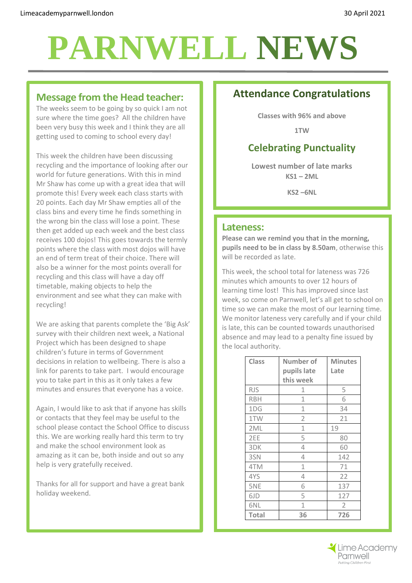#### **Message from the Head teacher:**

The weeks seem to be going by so quick I am not sure where the time goes? All the children have been very busy this week and I think they are all getting used to coming to school every day!

This week the children have been discussing recycling and the importance of looking after our world for future generations. With this in mind Mr Shaw has come up with a great idea that will promote this! Every week each class starts with 20 points. Each day Mr Shaw empties all of the class bins and every time he finds something in the wrong bin the class will lose a point. These then get added up each week and the best class receives 100 dojos! This goes towards the termly points where the class with most dojos will have an end of term treat of their choice. There will also be a winner for the most points overall for recycling and this class will have a day off timetable, making objects to help the environment and see what they can make with recycling!

We are asking that parents complete the 'Big Ask' survey with their children next week, a National Project which has been designed to shape children's future in terms of Government decisions in relation to wellbeing. There is also a link for parents to take part. I would encourage you to take part in this as it only takes a few minutes and ensures that everyone has a voice.

Again, I would like to ask that if anyone has skills or contacts that they feel may be useful to the school please contact the School Office to discuss this. We are working really hard this term to try and make the school environment look as amazing as it can be, both inside and out so any help is very gratefully received.

Thanks for all for support and have a great bank holiday weekend.

# **Attendance Congratulations**

**Classes with 96% and above**

**1TW**

### **Celebrating Punctuality**

**Lowest number of late marks KS1 – 2ML**

**KS2 –6NL**

#### **Lateness:**

**Please can we remind you that in the morning, pupils need to be in class by 8.50am**, otherwise this will be recorded as late.

This week, the school total for lateness was 726 minutes which amounts to over 12 hours of learning time lost! This has improved since last week, so come on Parnwell, let's all get to school on time so we can make the most of our learning time. We monitor lateness very carefully and if your child is late, this can be counted towards unauthorised absence and may lead to a penalty fine issued by the local authority.

| <b>Class</b> | <b>Number of</b> | <b>Minutes</b> |
|--------------|------------------|----------------|
|              | pupils late      | Late           |
|              | this week        |                |
| <b>RJS</b>   | 1                | 5              |
| <b>RBH</b>   | 1                | 6              |
| 1DG          | 1                | 34             |
| 1TW          | $\overline{2}$   | 21             |
| 2ML          | 1                | 19             |
| 2EE          | 5                | 80             |
| 3DK          | 4                | 60             |
| 3SN          | 4                | 142            |
| 4TM          | $\mathbf{1}$     | 71             |
| 4YS          | 4                | 22             |
| 5NE          | 6                | 137            |
| 6JD          | 5                | 127            |
| 6NL          | $\mathbf{1}$     | $\overline{2}$ |
| <b>Total</b> | 36               | 726            |

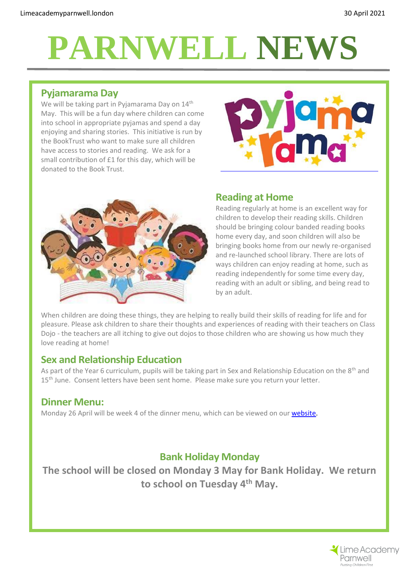# **Pyjamarama Day**

We will be taking part in Pyjamarama Day on 14<sup>th</sup> May. This will be a fun day where children can come into school in appropriate pyjamas and spend a day enjoying and sharing stories. This initiative is run by the BookTrust who want to make sure all children have access to stories and reading. We ask for a small contribution of £1 for this day, which will be donated to the Book Trust.





#### **Reading at Home**

Reading regularly at home is an excellent way for children to develop their reading skills. Children should be bringing colour banded reading books home every day, and soon children will also be bringing books home from our newly re-organised and re-launched school library. There are lots of ways children can enjoy reading at home, such as reading independently for some time every day, reading with an adult or sibling, and being read to by an adult.

When children are doing these things, they are helping to really build their skills of reading for life and for pleasure. Please ask children to share their thoughts and experiences of reading with their teachers on Class Dojo - the teachers are all itching to give out dojos to those children who are showing us how much they love reading at home!

#### **Sex and Relationship Education**

As part of the Year 6 curriculum, pupils will be taking part in Sex and Relationship Education on the 8<sup>th</sup> and 15<sup>th</sup> June. Consent letters have been sent home. Please make sure you return your letter.

#### **Dinner Menu:**

Monday 26 April will be week 4 of the dinner menu, which can be viewed on ou[r website.](http://limeacademyparnwell.org/media/3932/dinner-menu-2020-09-18.pdf)

### **Bank Holiday Monday**

**The school will be closed on Monday 3 May for Bank Holiday. We return to school on Tuesday 4th May.**

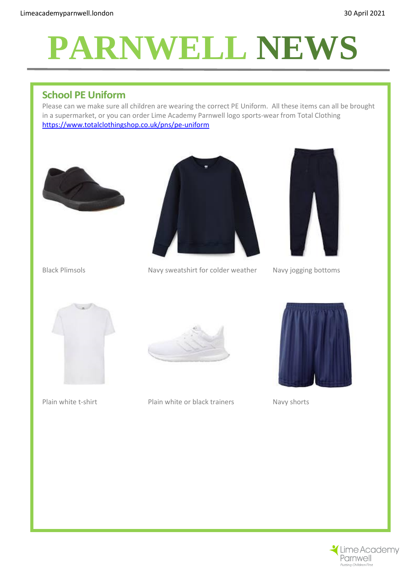### **School PE Uniform**

Please can we make sure all children are wearing the correct PE Uniform. All these items can all be brought in a supermarket, or you can order Lime Academy Parnwell logo sports-wear from Total Clothing <https://www.totalclothingshop.co.uk/pns/pe-uniform>





Black Plimsols Navy sweatshirt for colder weather Navy jogging bottoms





Plain white t-shirt Plain white or black trainers Navy shorts